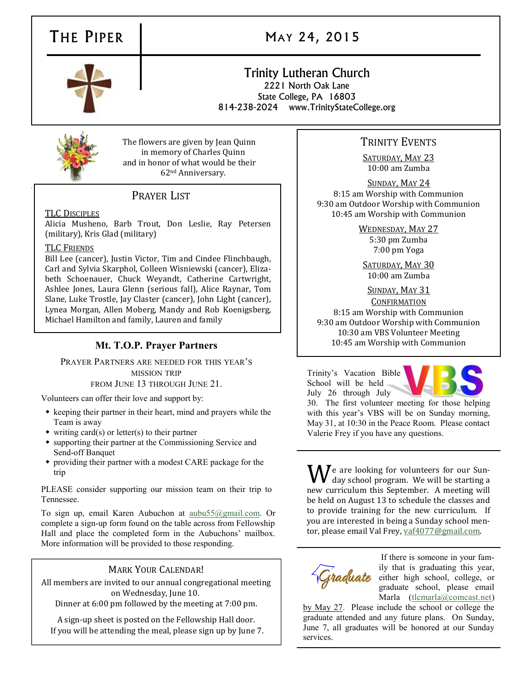## THE PIPER | MAY 24, 2015

### Trinity Lutheran Church 2221 North Oak Lane State College, PA 16803 814-238-2024 www.TrinityStateCollege.org

The flowers are given by Jean Quinn in memory of Charles Quinn and in honor of what would be their 62nd Anniversary.

## PRAYER LIST

### TLC DISCIPLES

Alicia Musheno, Barb Trout, Don Leslie, Ray Petersen (military), Kris Glad (military)

### TLC FRIENDS

Bill Lee (cancer), Justin Victor, Tim and Cindee Flinchbaugh, Carl and Sylvia Skarphol, Colleen Wisniewski (cancer), Elizabeth Schoenauer, Chuck Weyandt, Catherine Cartwright, Ashlee Jones, Laura Glenn (serious fall), Alice Raynar, Tom Slane, Luke Trostle, Jay Claster (cancer), John Light (cancer), Lynea Morgan, Allen Moberg, Mandy and Rob Koenigsberg, Michael Hamilton and family, Lauren and family

### **Mt. T.O.P. Prayer Partners**

### PRAYER PARTNERS ARE NEEDED FOR THIS YEAR'S

MISSION TRIP FROM JUNE 13 THROUGH JUNE 21.

Volunteers can offer their love and support by:

- $\bullet$  keeping their partner in their heart, mind and prayers while the Team is away
- $\bullet$  writing card(s) or letter(s) to their partner
- supporting their partner at the Commissioning Service and Send-off Banquet
- providing their partner with a modest CARE package for the trip

PLEASE consider supporting our mission team on their trip to Tennessee.

To sign up, email Karen Aubuchon at [aubu55@gmail.com.](mailto:aubu55@gmail.com) Or complete a sign-up form found on the table across from Fellowship Hall and place the completed form in the Aubuchons' mailbox. More information will be provided to those responding.

### MARK YOUR CALENDAR!

All members are invited to our annual congregational meeting on Wednesday, June 10.

Dinner at 6:00 pm followed by the meeting at 7:00 pm.

A sign-up sheet is posted on the Fellowship Hall door. If you will be attending the meal, please sign up by June 7.

### TRINITY EVENTS

SATURDAY, MAY 23 10:00 am Zumba

SUNDAY, MAY 24 8:15 am Worship with Communion 9:30 am Outdoor Worship with Communion 10:45 am Worship with Communion

> WEDNESDAY, MAY 27 5:30 pm Zumba 7:00 pm Yoga

SATURDAY, MAY 30 10:00 am Zumba

### SUNDAY, MAY 31

**CONFIRMATION** 8:15 am Worship with Communion 9:30 am Outdoor Worship with Communion 10:30 am VBS Volunteer Meeting 10:45 am Worship with Communion

Trinity's Vacation Bible School will be held July 26 through July



30. The first volunteer meeting for those helping with this year's VBS will be on Sunday morning, May 31, at 10:30 in the Peace Room. Please contact Valerie Frey if you have any questions.

 $\mathbf{W}$ e are looking for volunteers for our Sun-<br>day school program. We will be starting a new curriculum this September. A meeting will be held on August 13 to schedule the classes and to provide training for the new curriculum. If you are interested in being a Sunday school mentor, please email Val Frey, [vaf4077@gmail.com.](mailto:vaf4077@gmail.com)



If there is someone in your family that is graduating this year, Graduate either high school, college, or graduate school, please email Marla ([tlcmarla@comcast.net\)](mailto:tlcmarla@comcast.net)

by May 27. Please include the school or college the graduate attended and any future plans. On Sunday, June 7, all graduates will be honored at our Sunday services.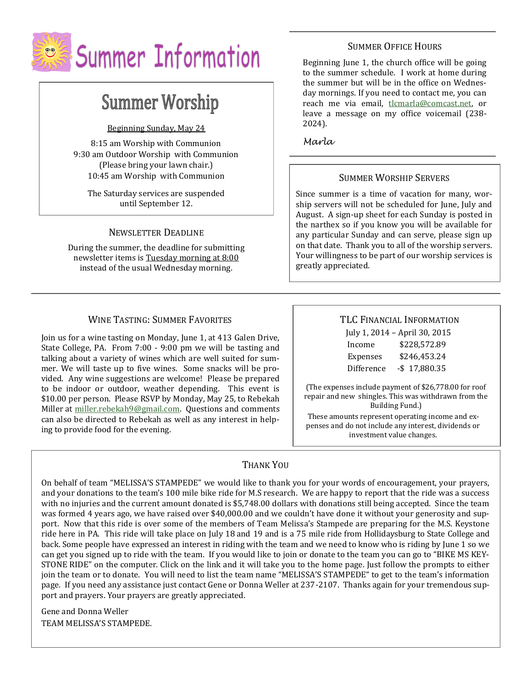

# **Summer Worship**

Beginning Sunday, May 24

8:15 am Worship with Communion 9:30 am Outdoor Worship with Communion (Please bring your lawn chair.) 10:45 am Worship with Communion

The Saturday services are suspended until September 12.

### NEWSLETTER DEADLINE

During the summer, the deadline for submitting newsletter items is Tuesday morning at 8:00 instead of the usual Wednesday morning.

### WINE TASTING: SUMMER FAVORITES

Join us for a wine tasting on Monday, June 1, at 413 Galen Drive, State College, PA. From 7:00 - 9:00 pm we will be tasting and talking about a variety of wines which are well suited for summer. We will taste up to five wines. Some snacks will be provided. Any wine suggestions are welcome! Please be prepared to be indoor or outdoor, weather depending. This event is \$10.00 per person. Please RSVP by Monday, May 25, to Rebekah Miller at [miller.rebekah9@gmail.com.](mailto:miller.rebekah9@gmail.com) Questions and comments can also be directed to Rebekah as well as any interest in helping to provide food for the evening.

### SUMMER OFFICE HOURS

Beginning June 1, the church office will be going to the summer schedule. I work at home during the summer but will be in the office on Wednesday mornings. If you need to contact me, you can reach me via email, [tlcmarla@comcast.net,](mailto:tlcmarla@comcast.net) or leave a message on my office voicemail (238- 2024).

*Marla*

### SUMMER WORSHIP SERVERS

Since summer is a time of vacation for many, worship servers will not be scheduled for June, July and August. A sign-up sheet for each Sunday is posted in the narthex so if you know you will be available for any particular Sunday and can serve, please sign up on that date. Thank you to all of the worship servers. Your willingness to be part of our worship services is greatly appreciated.

### TLC FINANCIAL INFORMATION

| July 1, 2014 - April 30, 2015 |                 |
|-------------------------------|-----------------|
| Income                        | \$228,572.89    |
| Expenses                      | \$246,453.24    |
| Difference                    | $-$ \$17,880.35 |

(The expenses include payment of \$26,778.00 for roof repair and new shingles. This was withdrawn from the Building Fund.)

These amounts represent operating income and expenses and do not include any interest, dividends or investment value changes.

### THANK YOU

On behalf of team "MELISSA'S STAMPEDE" we would like to thank you for your words of encouragement, your prayers, and your donations to the team's 100 mile bike ride for M.S research. We are happy to report that the ride was a success with no injuries and the current amount donated is \$5,748.00 dollars with donations still being accepted. Since the team was formed 4 years ago, we have raised over \$40,000.00 and we couldn't have done it without your generosity and support. Now that this ride is over some of the members of Team Melissa's Stampede are preparing for the M.S. Keystone ride here in PA. This ride will take place on July 18 and 19 and is a 75 mile ride from Hollidaysburg to State College and back. Some people have expressed an interest in riding with the team and we need to know who is riding by June 1 so we can get you signed up to ride with the team. If you would like to join or donate to the team you can go to "BIKE MS KEY-STONE RIDE" on the computer. Click on the link and it will take you to the home page. Just follow the prompts to either join the team or to donate. You will need to list the team name "MELISSA'S STAMPEDE" to get to the team's information page. If you need any assistance just contact Gene or Donna Weller at 237-2107. Thanks again for your tremendous support and prayers. Your prayers are greatly appreciated.

Gene and Donna Weller TEAM MELISSA'S STAMPEDE.